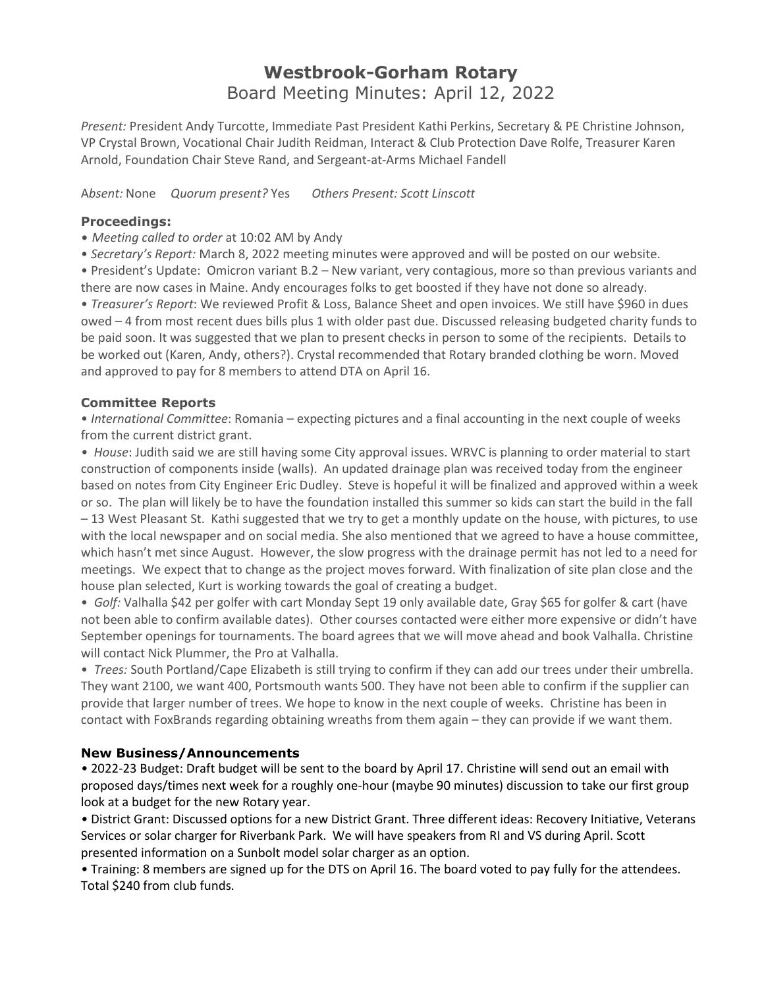## **Westbrook-Gorham Rotary** Board Meeting Minutes: April 12, 2022

*Present:* President Andy Turcotte, Immediate Past President Kathi Perkins, Secretary & PE Christine Johnson, VP Crystal Brown, Vocational Chair Judith Reidman, Interact & Club Protection Dave Rolfe, Treasurer Karen Arnold, Foundation Chair Steve Rand, and Sergeant-at-Arms Michael Fandell

A*bsent:* None *Quorum present?* Yes *Others Present: Scott Linscott*

## **Proceedings:**

- *Meeting called to order* at 10:02 AM by Andy
- *Secretary's Report:* March 8, 2022 meeting minutes were approved and will be posted on our website.

• President's Update: Omicron variant B.2 – New variant, very contagious, more so than previous variants and there are now cases in Maine. Andy encourages folks to get boosted if they have not done so already.

• *Treasurer's Report*: We reviewed Profit & Loss, Balance Sheet and open invoices. We still have \$960 in dues owed – 4 from most recent dues bills plus 1 with older past due. Discussed releasing budgeted charity funds to be paid soon. It was suggested that we plan to present checks in person to some of the recipients. Details to be worked out (Karen, Andy, others?). Crystal recommended that Rotary branded clothing be worn. Moved and approved to pay for 8 members to attend DTA on April 16.

## **Committee Reports**

• *International Committee*: Romania – expecting pictures and a final accounting in the next couple of weeks from the current district grant.

*• House*: Judith said we are still having some City approval issues. WRVC is planning to order material to start construction of components inside (walls). An updated drainage plan was received today from the engineer based on notes from City Engineer Eric Dudley. Steve is hopeful it will be finalized and approved within a week or so. The plan will likely be to have the foundation installed this summer so kids can start the build in the fall – 13 West Pleasant St. Kathi suggested that we try to get a monthly update on the house, with pictures, to use with the local newspaper and on social media. She also mentioned that we agreed to have a house committee, which hasn't met since August. However, the slow progress with the drainage permit has not led to a need for meetings. We expect that to change as the project moves forward. With finalization of site plan close and the house plan selected, Kurt is working towards the goal of creating a budget.

• *Golf:* Valhalla \$42 per golfer with cart Monday Sept 19 only available date, Gray \$65 for golfer & cart (have not been able to confirm available dates). Other courses contacted were either more expensive or didn't have September openings for tournaments. The board agrees that we will move ahead and book Valhalla. Christine will contact Nick Plummer, the Pro at Valhalla.

• *Trees:* South Portland/Cape Elizabeth is still trying to confirm if they can add our trees under their umbrella. They want 2100, we want 400, Portsmouth wants 500. They have not been able to confirm if the supplier can provide that larger number of trees. We hope to know in the next couple of weeks. Christine has been in contact with FoxBrands regarding obtaining wreaths from them again – they can provide if we want them.

## **New Business/Announcements**

*•* 2022-23 Budget: Draft budget will be sent to the board by April 17. Christine will send out an email with proposed days/times next week for a roughly one-hour (maybe 90 minutes) discussion to take our first group look at a budget for the new Rotary year.

*•* District Grant: Discussed options for a new District Grant. Three different ideas: Recovery Initiative, Veterans Services or solar charger for Riverbank Park. We will have speakers from RI and VS during April. Scott presented information on a Sunbolt model solar charger as an option.

*•* Training: 8 members are signed up for the DTS on April 16. The board voted to pay fully for the attendees. Total \$240 from club funds.